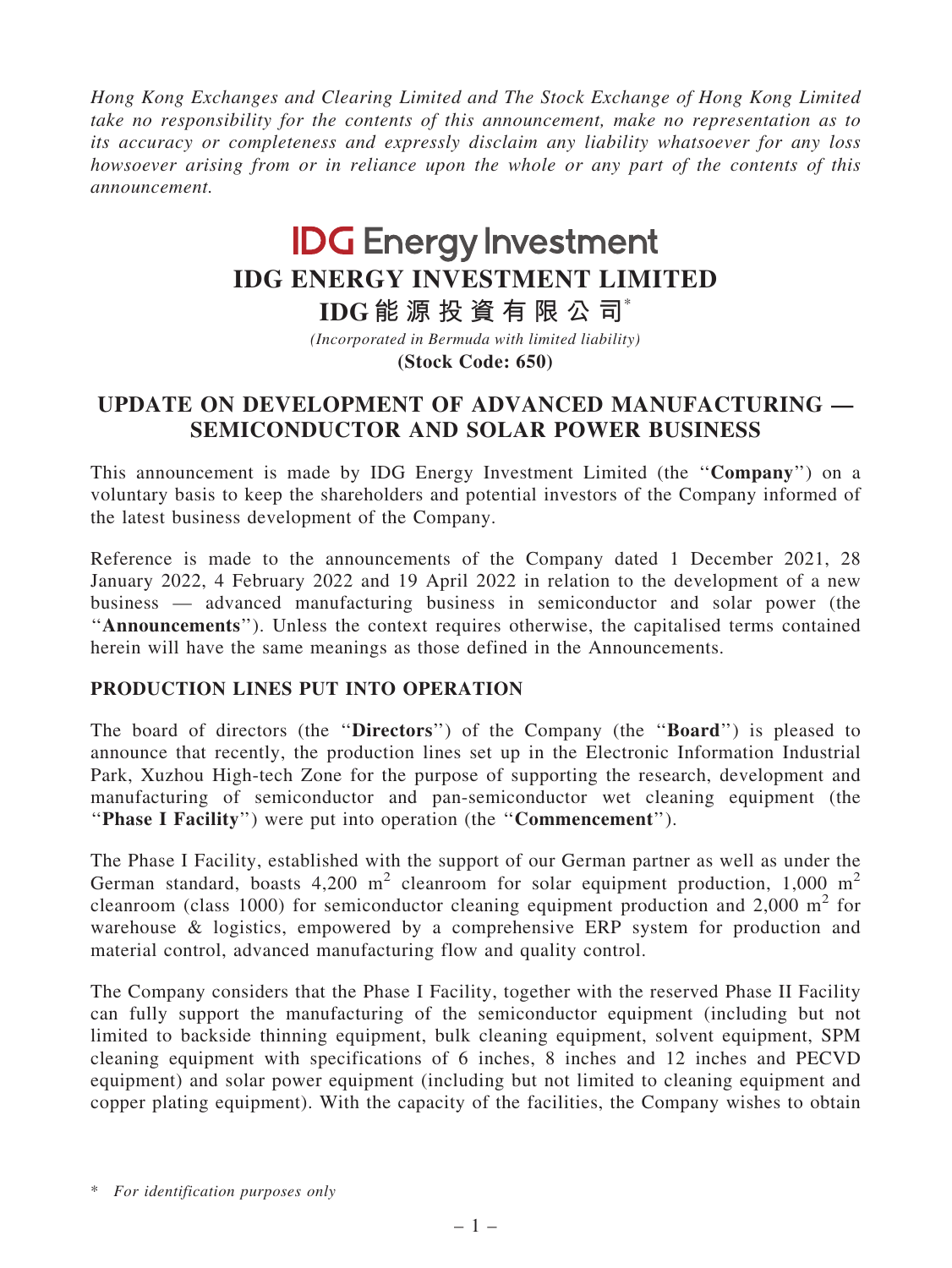Hong Kong Exchanges and Clearing Limited and The Stock Exchange of Hong Kong Limited take no responsibility for the contents of this announcement, make no representation as to its accuracy or completeness and expressly disclaim any liability whatsoever for any loss howsoever arising from or in reliance upon the whole or any part of the contents of this announcement.

# **IDG Energy Investment IDG ENERGY INVESTMENT LIMITED**

**IDG 能 源 投 資 有 限 公 司**\*

*(Incorporated in Bermuda with limited liability)*

**(Stock Code: 650)**

## UPDATE ON DEVELOPMENT OF ADVANCED MANUFACTURING — SEMICONDUCTOR AND SOLAR POWER BUSINESS

This announcement is made by IDG Energy Investment Limited (the ''Company'') on a voluntary basis to keep the shareholders and potential investors of the Company informed of the latest business development of the Company.

Reference is made to the announcements of the Company dated 1 December 2021, 28 January 2022, 4 February 2022 and 19 April 2022 in relation to the development of a new business — advanced manufacturing business in semiconductor and solar power (the ''Announcements''). Unless the context requires otherwise, the capitalised terms contained herein will have the same meanings as those defined in the Announcements.

## PRODUCTION LINES PUT INTO OPERATION

The board of directors (the "Directors") of the Company (the "Board") is pleased to announce that recently, the production lines set up in the Electronic Information Industrial Park, Xuzhou High-tech Zone for the purpose of supporting the research, development and manufacturing of semiconductor and pan-semiconductor wet cleaning equipment (the ''Phase I Facility'') were put into operation (the ''Commencement'').

The Phase I Facility, established with the support of our German partner as well as under the German standard, boasts  $4,200 \text{ m}^2$  cleanroom for solar equipment production, 1,000 m<sup>2</sup> cleanroom (class 1000) for semiconductor cleaning equipment production and 2,000  $m^2$  for warehouse & logistics, empowered by a comprehensive ERP system for production and material control, advanced manufacturing flow and quality control.

The Company considers that the Phase I Facility, together with the reserved Phase II Facility can fully support the manufacturing of the semiconductor equipment (including but not limited to backside thinning equipment, bulk cleaning equipment, solvent equipment, SPM cleaning equipment with specifications of 6 inches, 8 inches and 12 inches and PECVD equipment) and solar power equipment (including but not limited to cleaning equipment and copper plating equipment). With the capacity of the facilities, the Company wishes to obtain

\* For identification purposes only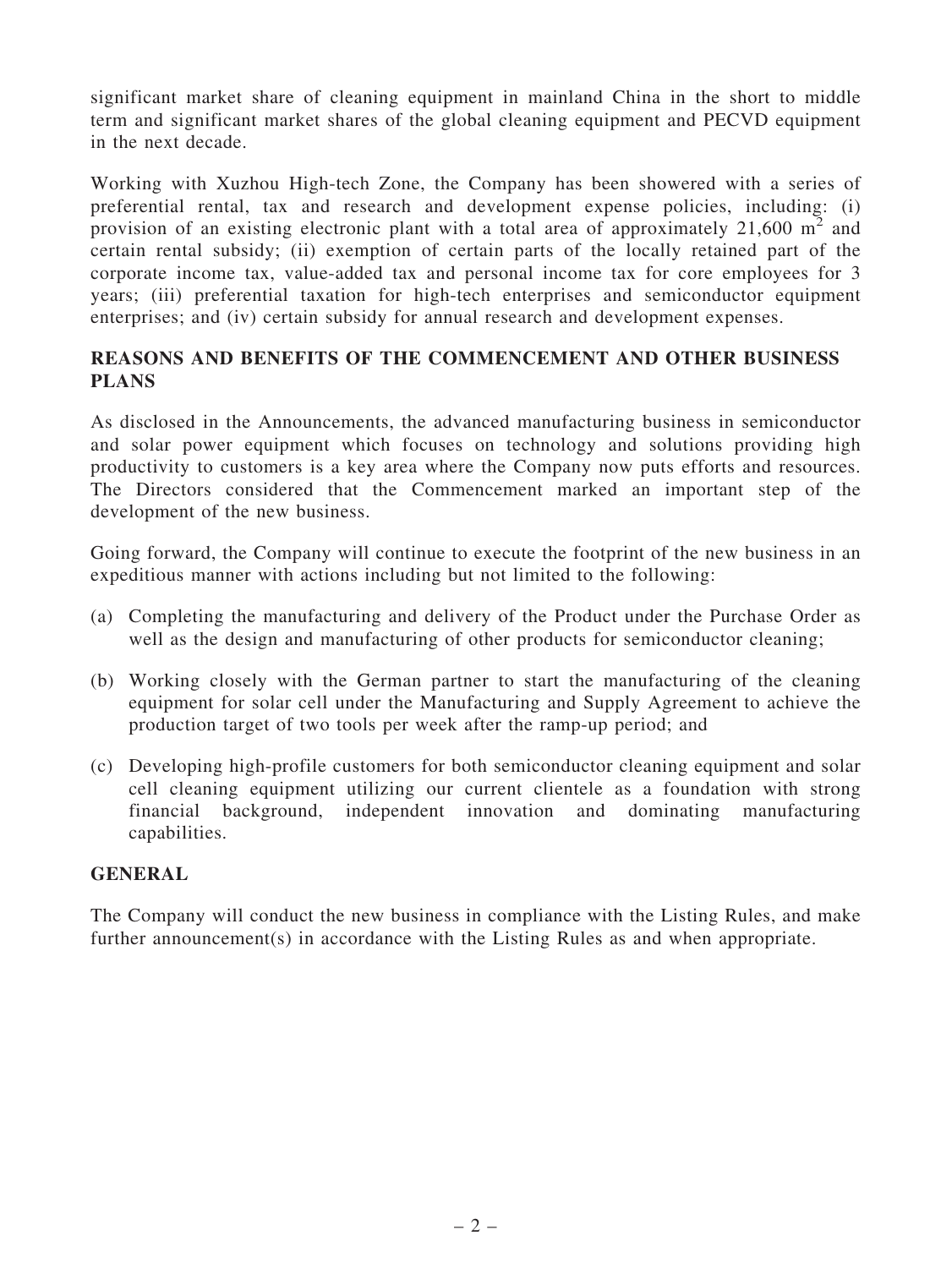significant market share of cleaning equipment in mainland China in the short to middle term and significant market shares of the global cleaning equipment and PECVD equipment in the next decade.

Working with Xuzhou High-tech Zone, the Company has been showered with a series of preferential rental, tax and research and development expense policies, including: (i) provision of an existing electronic plant with a total area of approximately 21,600  $m^2$  and certain rental subsidy; (ii) exemption of certain parts of the locally retained part of the corporate income tax, value-added tax and personal income tax for core employees for 3 years; (iii) preferential taxation for high-tech enterprises and semiconductor equipment enterprises; and (iv) certain subsidy for annual research and development expenses.

### REASONS AND BENEFITS OF THE COMMENCEMENT AND OTHER BUSINESS PLANS

As disclosed in the Announcements, the advanced manufacturing business in semiconductor and solar power equipment which focuses on technology and solutions providing high productivity to customers is a key area where the Company now puts efforts and resources. The Directors considered that the Commencement marked an important step of the development of the new business.

Going forward, the Company will continue to execute the footprint of the new business in an expeditious manner with actions including but not limited to the following:

- (a) Completing the manufacturing and delivery of the Product under the Purchase Order as well as the design and manufacturing of other products for semiconductor cleaning;
- (b) Working closely with the German partner to start the manufacturing of the cleaning equipment for solar cell under the Manufacturing and Supply Agreement to achieve the production target of two tools per week after the ramp-up period; and
- (c) Developing high-profile customers for both semiconductor cleaning equipment and solar cell cleaning equipment utilizing our current clientele as a foundation with strong financial background, independent innovation and dominating manufacturing capabilities.

#### **GENERAL**

The Company will conduct the new business in compliance with the Listing Rules, and make further announcement(s) in accordance with the Listing Rules as and when appropriate.